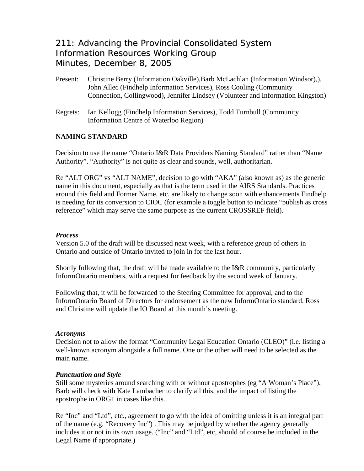# 211: Advancing the Provincial Consolidated System Information Resources Working Group Minutes, December 8, 2005

- Present: Christine Berry (Information Oakville),Barb McLachlan (Information Windsor),), John Allec (Findhelp Information Services), Ross Cooling (Community Connection, Collingwood), Jennifer Lindsey (Volunteer and Information Kingston)
- Regrets: Ian Kellogg (Findhelp Information Services), Todd Turnbull (Community Information Centre of Waterloo Region)

## **NAMING STANDARD**

Decision to use the name "Ontario I&R Data Providers Naming Standard" rather than "Name Authority". "Authority" is not quite as clear and sounds, well, authoritarian.

Re "ALT ORG" vs "ALT NAME", decision to go with "AKA" (also known as) as the generic name in this document, especially as that is the term used in the AIRS Standards. Practices around this field and Former Name, etc. are likely to change soon with enhancements Findhelp is needing for its conversion to CIOC (for example a toggle button to indicate "publish as cross reference" which may serve the same purpose as the current CROSSREF field).

### *Process*

Version 5.0 of the draft will be discussed next week, with a reference group of others in Ontario and outside of Ontario invited to join in for the last hour.

Shortly following that, the draft will be made available to the I&R community, particularly InformOntario members, with a request for feedback by the second week of January.

Following that, it will be forwarded to the Steering Committee for approval, and to the InformOntario Board of Directors for endorsement as the new InformOntario standard. Ross and Christine will update the IO Board at this month's meeting.

### *Acronyms*

Decision not to allow the format "Community Legal Education Ontario (CLEO)" (i.e. listing a well-known acronym alongside a full name. One or the other will need to be selected as the main name.

### *Punctuation and Style*

Still some mysteries around searching with or without apostrophes (eg "A Woman's Place"). Barb will check with Kate Lambacher to clarify all this, and the impact of listing the apostrophe in ORG1 in cases like this.

Re "Inc" and "Ltd", etc., agreement to go with the idea of omitting unless it is an integral part of the name (e.g. "Recovery Inc") . This may be judged by whether the agency generally includes it or not in its own usage. ("Inc" and "Ltd", etc, should of course be included in the Legal Name if appropriate.)